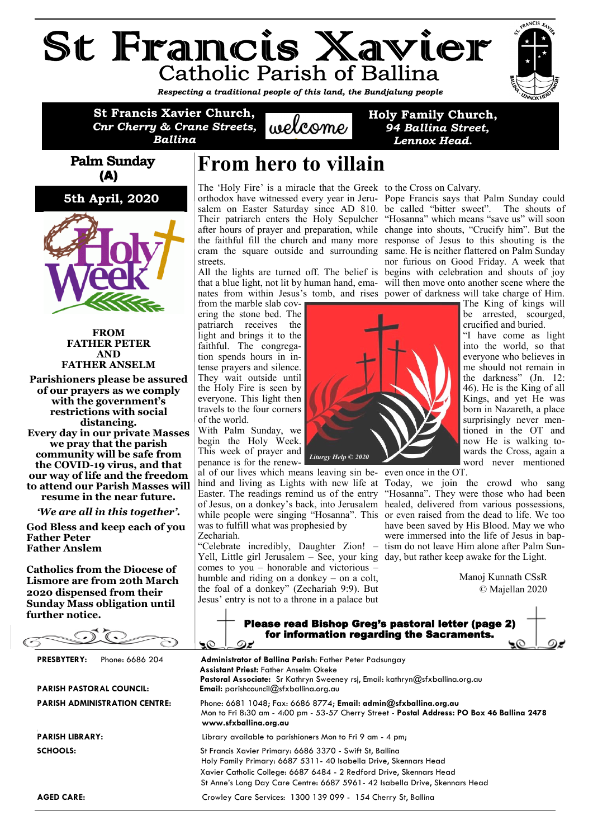# St Francis Xavier **Catholic Parish of Ballina**

*Respecting a traditional people of this land, the Bundjalung people* 

**St Francis Xavier Church,**  *Cnr Cherry & Crane Streets, Ballina*

 $uek^{\alpha}$ 

**Holy Family Church,** *94 Ballina Street, Lennox Head***.**

#### **Palm Sunday** (A)

**5th April, 2020**



**FROM FATHER PETER AND FATHER ANSELM**

**Parishioners please be assured of our prayers as we comply with the government's restrictions with social distancing. Every day in our private Masses we pray that the parish community will be safe from the COVID-19 virus, and that our way of life and the freedom to attend our Parish Masses will resume in the near future.**

*'We are all in this together'.*

**God Bless and keep each of you Father Peter Father Anslem**

**Catholics from the Diocese of Lismore are from 20th March 2020 dispensed from their Sunday Mass obligation until further notice.**

 $\bigcirc$  $\sqrt{\Omega}$ 

**PRESBYTERY:** Phone: 6686 204

#### **PARISH PASTORAL COUNCIL: PARISH ADMINISTRATION CENT**

### **From hero to villain**

The 'Holy Fire' is a miracle that the Greek to the Cross on Calvary. orthodox have witnessed every year in Jeru-Pope Francis says that Palm Sunday could salem on Easter Saturday since AD 810. be called "bitter sweet". The shouts of Their patriarch enters the Holy Sepulcher "Hosanna" which means "save us" will soon after hours of prayer and preparation, while change into shouts, "Crucify him". But the the faithful fill the church and many more response of Jesus to this shouting is the cram the square outside and surrounding same. He is neither flattered on Palm Sunday streets.

All the lights are turned off. The belief is begins with celebration and shouts of joy that a blue light, not lit by human hand, ema-will then move onto another scene where the nates from within Jesus's tomb, and rises power of darkness will take charge of Him.

from the marble slab covering the stone bed. The patriarch receives the light and brings it to the faithful. The congregation spends hours in intense prayers and silence. They wait outside until the Holy Fire is seen by everyone. This light then travels to the four corners of the world.

With Palm Sunday, we begin the Holy Week. This week of prayer and penance is for the renew-

SC

al of our lives which means leaving sin be-even once in the OT. was to fulfill what was prophesied by Zechariah.

"Celebrate incredibly, Daughter Zion! – Yell, Little girl Jerusalem – See, your king day, but rather keep awake for the Light. comes to you – honorable and victorious – humble and riding on a donkey – on a colt, the foal of a donkey" (Zechariah 9:9). But Jesus' entry is not to a throne in a palace but



hind and living as Lights with new life at Today, we join the crowd who sang Easter. The readings remind us of the entry "Hosanna". They were those who had been of Jesus, on a donkey's back, into Jerusalem healed, delivered from various possessions, while people were singing "Hosanna". This or even raised from the dead to life. We too have been saved by His Blood. May we who were immersed into the life of Jesus in baptism do not leave Him alone after Palm Sun-

nor furious on Good Friday. A week that

be arrested, scourged, crucified and buried. "I have come as light into the world, so that everyone who believes in me should not remain in the darkness" (Jn. 12: 46). He is the King of all Kings, and yet He was born in Nazareth, a place surprisingly never mentioned in the OT and now He is walking towards the Cross, again a word never mentioned

 Manoj Kunnath CSsR © Majellan 2020

|  | Please read Bishop Greg's pastoral letter (page 2)<br>for information regarding the Sacraments. |  |
|--|-------------------------------------------------------------------------------------------------|--|
|  |                                                                                                 |  |

| FRESDITERI:<br>Frione: 0000 ZU4<br>PARISH PASTORAL COUNCIL: | <b>Administrator of Balling Farish:</b> Famer Feler Faasungay<br><b>Assistant Priest: Father Anselm Okeke</b><br>Pastoral Associate: Sr Kathryn Sweeney rsj, Email: kathryn@sfxballina.org.au<br><b>Email:</b> parishcouncil $@$ sfxballina.org.au                                |  |  |
|-------------------------------------------------------------|-----------------------------------------------------------------------------------------------------------------------------------------------------------------------------------------------------------------------------------------------------------------------------------|--|--|
| <b>PARISH ADMINISTRATION CENTRE:</b>                        | Phone: 6681 1048; Fax: 6686 8774; Email: admin@sfxballina.org.au<br>Mon to Fri 8:30 am - 4:00 pm - 53-57 Cherry Street - Postal Address: PO Box 46 Ballina 2478<br>www.sfxballina.org.au                                                                                          |  |  |
| <b>PARISH LIBRARY:</b>                                      | Library available to parishioners Mon to Fri 9 am - 4 pm;                                                                                                                                                                                                                         |  |  |
| <b>SCHOOLS:</b>                                             | St Francis Xavier Primary: 6686 3370 - Swift St, Ballina<br>Holy Family Primary: 6687 5311-40 Isabella Drive, Skennars Head<br>Xavier Catholic College: 6687 6484 - 2 Redford Drive, Skennars Head<br>St Anne's Long Day Care Centre: 6687 5961- 42 Isabella Drive, Skennars Head |  |  |
| <b>AGED CARE:</b>                                           | Crowley Care Services: 1300 139 099 - 154 Cherry St, Ballina                                                                                                                                                                                                                      |  |  |

**AGED CARE:**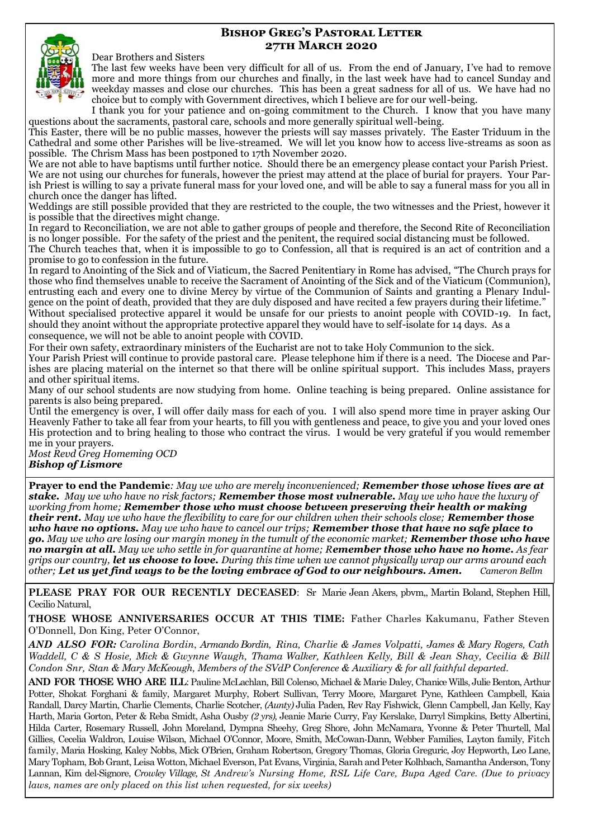#### **Bishop Greg's Pastoral Letter 27th March 2020**



#### Dear Brothers and Sisters

The last few weeks have been very difficult for all of us. From the end of January, I've had to remove more and more things from our churches and finally, in the last week have had to cancel Sunday and weekday masses and close our churches. This has been a great sadness for all of us. We have had no choice but to comply with Government directives, which I believe are for our well-being.

I thank you for your patience and on-going commitment to the Church. I know that you have many questions about the sacraments, pastoral care, schools and more generally spiritual well-being.

This Easter, there will be no public masses, however the priests will say masses privately. The Easter Triduum in the Cathedral and some other Parishes will be live-streamed. We will let you know how to access live-streams as soon as possible. The Chrism Mass has been postponed to 17th November 2020.

We are not able to have baptisms until further notice. Should there be an emergency please contact your Parish Priest. We are not using our churches for funerals, however the priest may attend at the place of burial for prayers. Your Parish Priest is willing to say a private funeral mass for your loved one, and will be able to say a funeral mass for you all in church once the danger has lifted.

Weddings are still possible provided that they are restricted to the couple, the two witnesses and the Priest, however it is possible that the directives might change.

In regard to Reconciliation, we are not able to gather groups of people and therefore, the Second Rite of Reconciliation is no longer possible. For the safety of the priest and the penitent, the required social distancing must be followed.

The Church teaches that, when it is impossible to go to Confession, all that is required is an act of contrition and a promise to go to confession in the future.

In regard to Anointing of the Sick and of Viaticum, the Sacred Penitentiary in Rome has advised, "The Church prays for those who find themselves unable to receive the Sacrament of Anointing of the Sick and of the Viaticum (Communion), entrusting each and every one to divine Mercy by virtue of the Communion of Saints and granting a Plenary Indulgence on the point of death, provided that they are duly disposed and have recited a few prayers during their lifetime." Without specialised protective apparel it would be unsafe for our priests to anoint people with COVID-19. In fact, should they anoint without the appropriate protective apparel they would have to self-isolate for 14 days. As a consequence, we will not be able to anoint people with COVID.

For their own safety, extraordinary ministers of the Eucharist are not to take Holy Communion to the sick.

Your Parish Priest will continue to provide pastoral care. Please telephone him if there is a need. The Diocese and Parishes are placing material on the internet so that there will be online spiritual support. This includes Mass, prayers and other spiritual items.

Many of our school students are now studying from home. Online teaching is being prepared. Online assistance for parents is also being prepared.

Until the emergency is over, I will offer daily mass for each of you. I will also spend more time in prayer asking Our Heavenly Father to take all fear from your hearts, to fill you with gentleness and peace, to give you and your loved ones His protection and to bring healing to those who contract the virus. I would be very grateful if you would remember me in your prayers.

*Most Revd Greg Homeming OCD* 

*Bishop of Lismore*

**Prayer to end the Pandemic***: May we who are merely inconvenienced; Remember those whose lives are at stake. May we who have no risk factors; Remember those most vulnerable. May we who have the luxury of working from home; Remember those who must choose between preserving their health or making their rent. May we who have the flexibility to care for our children when their schools close; Remember those who have no options. May we who have to cancel our trips; Remember those that have no safe place to go. May we who are losing our margin money in the tumult of the economic market; Remember those who have no margin at all. May we who settle in for quarantine at home; Remember those who have no home. As fear grips our country, let us choose to love. During this time when we cannot physically wrap our arms around each other; Let us yet find ways to be the loving embrace of God to our neighbours. Amen. Cameron Bellm*

**PLEASE PRAY FOR OUR RECENTLY DECEASED**: Sr Marie Jean Akers, pbvm,, Martin Boland, Stephen Hill, Cecilio Natural,

**THOSE WHOSE ANNIVERSARIES OCCUR AT THIS TIME:** Father Charles Kakumanu, Father Steven O'Donnell, Don King, Peter O'Connor,

*AND ALSO FOR: Carolina Bordin*, *Armando Bordin, Rina, Charlie & James Volpatti, James & Mary Rogers, Cath Waddell, C & S Hosie, Mick & Gwynne Waugh, Thama Walker, Kathleen Kelly, Bill & Jean Shay, Cecilia & Bill Condon Snr, Stan & Mary McKeough, Members of the SVdP Conference & Auxiliary & for all faithful departed.*

**AND FOR THOSE WHO ARE ILL**: Pauline McLachlan, Bill Colenso, Michael & Marie Daley, Chanice Wills, Julie Benton, Arthur Potter, Shokat Forghani & family, Margaret Murphy, Robert Sullivan, Terry Moore, Margaret Pyne, Kathleen Campbell, Kaia Randall, Darcy Martin, Charlie Clements, Charlie Scotcher, *(Aunty)* Julia Paden, Rev Ray Fishwick, Glenn Campbell, Jan Kelly, Kay Harth, Maria Gorton, Peter & Reba Smidt, Asha Ousby *(2 yrs),* Jeanie Marie Curry, Fay Kerslake, Darryl Simpkins, Betty Albertini, Hilda Carter, Rosemary Russell, John Moreland, Dympna Sheehy, Greg Shore, John McNamara, Yvonne & Peter Thurtell, Mal Gillies, Cecelia Waldron, Louise Wilson, Michael O'Connor, Moore, Smith, McCowan-Dann, Webber Families, Layton family, Fitch family, Maria Hosking, Kaley Nobbs, Mick O'Brien, Graham Robertson, Gregory Thomas, Gloria Greguric, Joy Hepworth, Leo Lane, Mary Topham, Bob Grant, Leisa Wotton, Michael Everson, Pat Evans, Virginia, Sarah and Peter Kolhbach, Samantha Anderson, Tony Lannan, Kim del-Signore, *Crowley Village, St Andrew's Nursing Home, RSL Life Care, Bupa Aged Care. (Due to privacy laws, names are only placed on this list when requested, for six weeks)*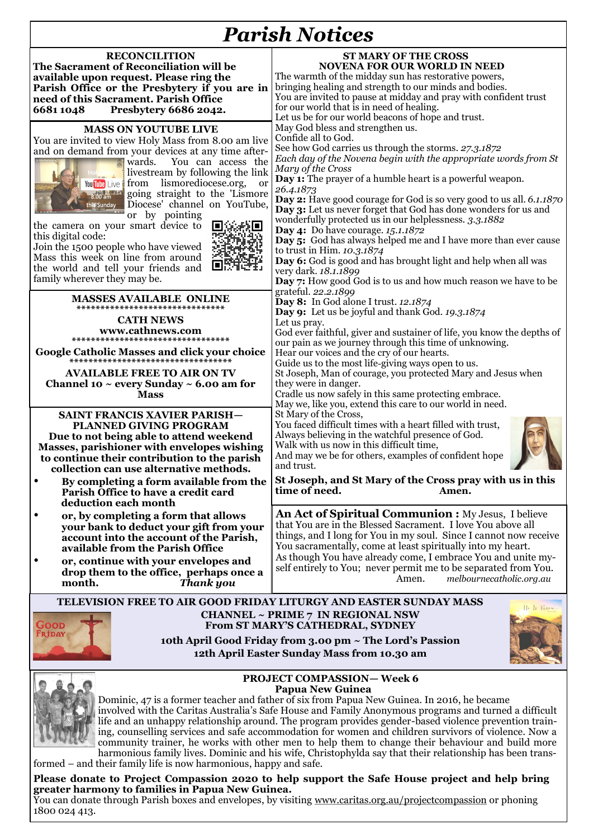## *Parish Notices*

| withvervo                                                                                                                                                                                                                                                                                                                                                                                                                                                                                                                                                                                                       |                                                                                                                                                                                                                                                                                                                                                                                                                                                                                                                                                                                                                                                                                                                                                                                                                                                                                                                                                                                                                                                                                                                                                                                                                                                                                                                                                                                                                                                                                                                                                                                                                                                                                                                                                                                                                                                                                                                                                                                                                                                                                                                               |  |  |  |  |
|-----------------------------------------------------------------------------------------------------------------------------------------------------------------------------------------------------------------------------------------------------------------------------------------------------------------------------------------------------------------------------------------------------------------------------------------------------------------------------------------------------------------------------------------------------------------------------------------------------------------|-------------------------------------------------------------------------------------------------------------------------------------------------------------------------------------------------------------------------------------------------------------------------------------------------------------------------------------------------------------------------------------------------------------------------------------------------------------------------------------------------------------------------------------------------------------------------------------------------------------------------------------------------------------------------------------------------------------------------------------------------------------------------------------------------------------------------------------------------------------------------------------------------------------------------------------------------------------------------------------------------------------------------------------------------------------------------------------------------------------------------------------------------------------------------------------------------------------------------------------------------------------------------------------------------------------------------------------------------------------------------------------------------------------------------------------------------------------------------------------------------------------------------------------------------------------------------------------------------------------------------------------------------------------------------------------------------------------------------------------------------------------------------------------------------------------------------------------------------------------------------------------------------------------------------------------------------------------------------------------------------------------------------------------------------------------------------------------------------------------------------------|--|--|--|--|
| <b>RECONCILITION</b><br>The Sacrament of Reconciliation will be<br>available upon request. Please ring the<br>Parish Office or the Presbytery if you are in<br>need of this Sacrament. Parish Office<br>66811048<br>Presbytery 6686 2042.                                                                                                                                                                                                                                                                                                                                                                       | <b>ST MARY OF THE CROSS</b><br><b>NOVENA FOR OUR WORLD IN NEED</b><br>The warmth of the midday sun has restorative powers,<br>bringing healing and strength to our minds and bodies.<br>You are invited to pause at midday and pray with confident trust<br>for our world that is in need of healing.<br>Let us be for our world beacons of hope and trust.<br>May God bless and strengthen us.<br>Confide all to God.<br>See how God carries us through the storms. 27.3.1872<br>Each day of the Novena begin with the appropriate words from St<br>Mary of the Cross<br><b>Day 1:</b> The prayer of a humble heart is a powerful weapon.<br>26.4.1873<br><b>Day 2:</b> Have good courage for God is so very good to us all. 6.1.1870<br>Day 3: Let us never forget that God has done wonders for us and<br>wonderfully protected us in our helplessness. 3.3.1882<br><b>Day 4:</b> Do have courage. 15.1.1872<br>Day 5: God has always helped me and I have more than ever cause<br>to trust in Him. 10.3.1874<br>Day 6: God is good and has brought light and help when all was<br>very dark. 18.1.1899<br>Day 7: How good God is to us and how much reason we have to be<br>grateful. 22.2.1899<br>Day 8: In God alone I trust. 12.1874<br>Day 9: Let us be joyful and thank God. 19.3.1874<br>Let us pray.<br>God ever faithful, giver and sustainer of life, you know the depths of<br>our pain as we journey through this time of unknowing.<br>Hear our voices and the cry of our hearts.<br>Guide us to the most life-giving ways open to us.<br>St Joseph, Man of courage, you protected Mary and Jesus when<br>they were in danger.<br>Cradle us now safely in this same protecting embrace.<br>May we, like you, extend this care to our world in need.<br>St Mary of the Cross,<br>You faced difficult times with a heart filled with trust,<br>Always believing in the watchful presence of God.<br>Walk with us now in this difficult time,<br>And may we be for others, examples of confident hope<br>and trust.<br><b>St Joseph, and St Mary of the Cross pray with us in this</b><br>time of need.<br>Amen. |  |  |  |  |
| <b>MASS ON YOUTUBE LIVE</b><br>You are invited to view Holy Mass from 8.00 am live<br>and on demand from your devices at any time after-<br>wards.<br>You can access the<br>livestream by following the link<br>You Tube Live from lismorediocese.org,<br>$\alpha$<br>8.00 am al going straight to the 'Lismore<br>Diocese' channel on YouTube,<br>this Sunday<br>or by pointing<br>the camera on your smart device to<br>III G<br>this digital code:<br>Join the 1500 people who have viewed<br>Mass this week on line from around<br>回<br>the world and tell your friends and<br>family wherever they may be. |                                                                                                                                                                                                                                                                                                                                                                                                                                                                                                                                                                                                                                                                                                                                                                                                                                                                                                                                                                                                                                                                                                                                                                                                                                                                                                                                                                                                                                                                                                                                                                                                                                                                                                                                                                                                                                                                                                                                                                                                                                                                                                                               |  |  |  |  |
| <b>MASSES AVAILABLE ONLINE</b><br>*******************************<br><b>CATH NEWS</b><br>www.cathnews.com<br>*********************************<br><b>Google Catholic Masses and click your choice</b><br>**********************************<br><b>AVAILABLE FREE TO AIR ON TV</b><br>Channel 10 $\sim$ every Sunday $\sim$ 6.00 am for<br><b>Mass</b>                                                                                                                                                                                                                                                           |                                                                                                                                                                                                                                                                                                                                                                                                                                                                                                                                                                                                                                                                                                                                                                                                                                                                                                                                                                                                                                                                                                                                                                                                                                                                                                                                                                                                                                                                                                                                                                                                                                                                                                                                                                                                                                                                                                                                                                                                                                                                                                                               |  |  |  |  |
| <b>SAINT FRANCIS XAVIER PARISH-</b><br>PLANNED GIVING PROGRAM<br>Due to not being able to attend weekend<br>Masses, parishioner with envelopes wishing<br>to continue their contribution to the parish<br>collection can use alternative methods.<br>By completing a form available from the<br>Parish Office to have a credit card<br>deduction each month                                                                                                                                                                                                                                                     |                                                                                                                                                                                                                                                                                                                                                                                                                                                                                                                                                                                                                                                                                                                                                                                                                                                                                                                                                                                                                                                                                                                                                                                                                                                                                                                                                                                                                                                                                                                                                                                                                                                                                                                                                                                                                                                                                                                                                                                                                                                                                                                               |  |  |  |  |
| or, by completing a form that allows<br>your bank to deduct your gift from your<br>account into the account of the Parish,<br>available from the Parish Office<br>or, continue with your envelopes and<br>drop them to the office, perhaps once a<br>month.<br>Thank you                                                                                                                                                                                                                                                                                                                                        | An Act of Spiritual Communion : My Jesus, I believe<br>that You are in the Blessed Sacrament. I love You above all<br>things, and I long for You in my soul. Since I cannot now receive<br>You sacramentally, come at least spiritually into my heart.<br>As though You have already come, I embrace You and unite my-<br>self entirely to You; never permit me to be separated from You.<br>Amen.<br>melbournecatholic.org.au                                                                                                                                                                                                                                                                                                                                                                                                                                                                                                                                                                                                                                                                                                                                                                                                                                                                                                                                                                                                                                                                                                                                                                                                                                                                                                                                                                                                                                                                                                                                                                                                                                                                                                |  |  |  |  |
| TELEVISION FREE TO AIR GOOD FRIDAY LITURGY AND EASTER SUNDAY MASS<br>He Is Risen.<br><b>CHANNEL ~ PRIME 7 IN REGIONAL NSW</b><br>Good<br>From ST MARY'S CATHEDRAL, SYDNEY<br><b>FRIDAY</b><br>10th April Good Friday from 3.00 pm ~ The Lord's Passion                                                                                                                                                                                                                                                                                                                                                          |                                                                                                                                                                                                                                                                                                                                                                                                                                                                                                                                                                                                                                                                                                                                                                                                                                                                                                                                                                                                                                                                                                                                                                                                                                                                                                                                                                                                                                                                                                                                                                                                                                                                                                                                                                                                                                                                                                                                                                                                                                                                                                                               |  |  |  |  |

**12th April Easter Sunday Mass from 10.30 am**





**PROJECT COMPASSION— Week 6 Papua New Guinea**

Dominic, 47 is a former teacher and father of six from Papua New Guinea. In 2016, he became involved with the Caritas Australia's Safe House and Family Anonymous programs and turned a difficult life and an unhappy relationship around. The program provides gender-based violence prevention training, counselling services and safe accommodation for women and children survivors of violence. Now a community trainer, he works with other men to help them to change their behaviour and build more harmonious family lives. Dominic and his wife, Christophylda say that their relationship has been trans-

formed – and their family life is now harmonious, happy and safe.

#### **Please donate to Project Compassion 2020 to help support the Safe House project and help bring greater harmony to families in Papua New Guinea.**

You can donate through Parish boxes and envelopes, by visiting [www.caritas.org.au/projectcompassion](http://www.caritas.org.au/projectcompassion) or phoning 1800 024 413.